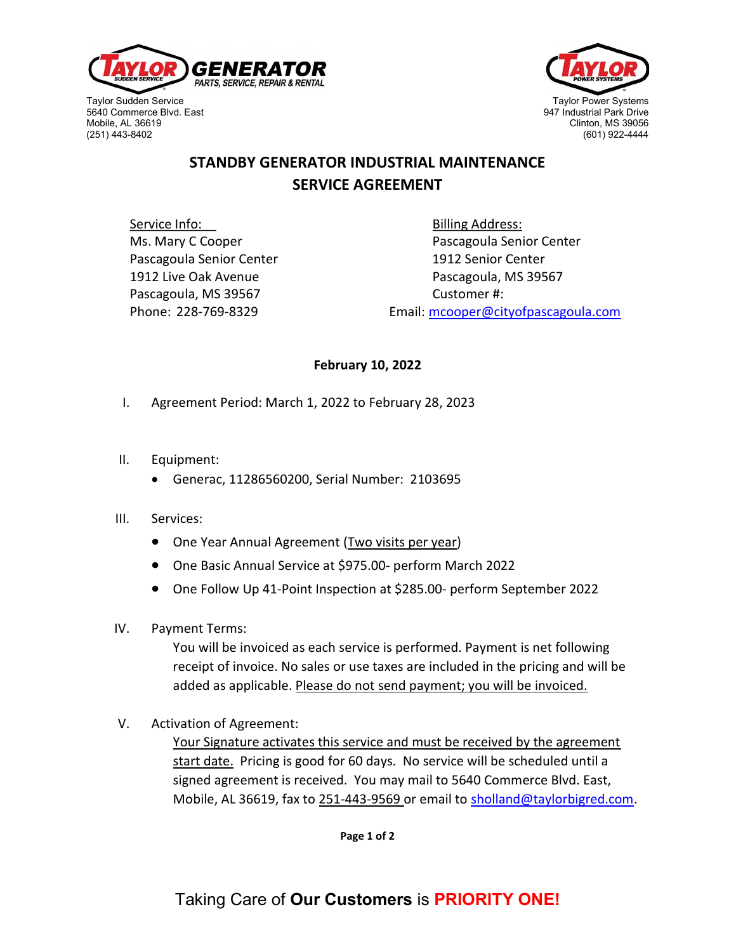

Taylor Sudden Service Taylor Power Systems (Taylor Power Systems of Taylor Power Systems of Taylor Power Systems<br>1947 Industrial Park Drive Taylor Power Systems (Taylor Power Systems of Taylor Power Systems of Taylor Power 5640 Commerce Blvd. East 947 Industrial Park Drive (251) 443-8402



## STANDBY GENERATOR INDUSTRIAL MAINTENANCE SERVICE AGREEMENT

Service Info: Service Info: Service Info: Service Info: Service Info: Service Info: Service Info: Service Info Pascagoula Senior Center 1912 Senior Center Pascagoula, MS 39567 Customer #:

Ms. Mary C Cooper **Pascagoula Senior Center** 1912 Live Oak Avenue **Pascagoula, MS** 39567 Phone: 228-769-8329 Email: mcooper@cityofpascagoula.com

## February 10, 2022

- I. Agreement Period: March 1, 2022 to February 28, 2023
- II. Equipment:
	- Generac, 11286560200, Serial Number: 2103695
- III. Services:
	- One Year Annual Agreement (Two visits per year)
	- One Basic Annual Service at \$975.00- perform March 2022
	- One Follow Up 41-Point Inspection at \$285.00- perform September 2022
- IV. Payment Terms:

You will be invoiced as each service is performed. Payment is net following receipt of invoice. No sales or use taxes are included in the pricing and will be added as applicable. Please do not send payment; you will be invoiced.

V. Activation of Agreement:

Your Signature activates this service and must be received by the agreement start date. Pricing is good for 60 days. No service will be scheduled until a signed agreement is received. You may mail to 5640 Commerce Blvd. East, Mobile, AL 36619, fax to 251-443-9569 or email to sholland@taylorbigred.com.

Page 1 of 2